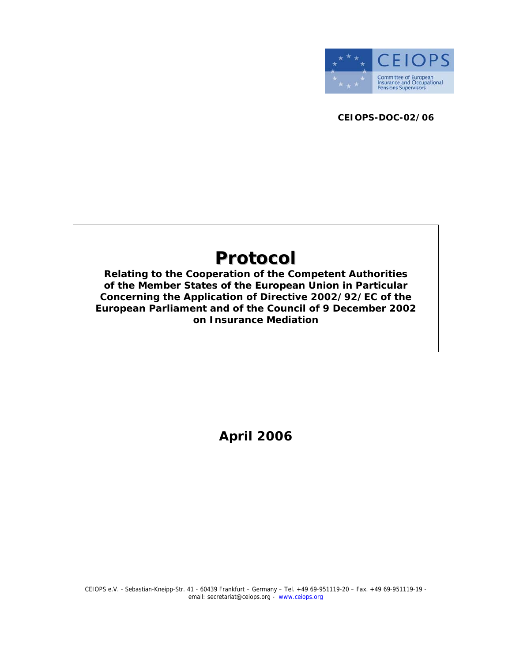

**CEIOPS-DOC-02/06** 

# **Protocol**

**Relating to the Cooperation of the Competent Authorities of the Member States of the European Union in Particular Concerning the Application of Directive 2002/92/EC of the European Parliament and of the Council of 9 December 2002 on Insurance Mediation** 

**April 2006**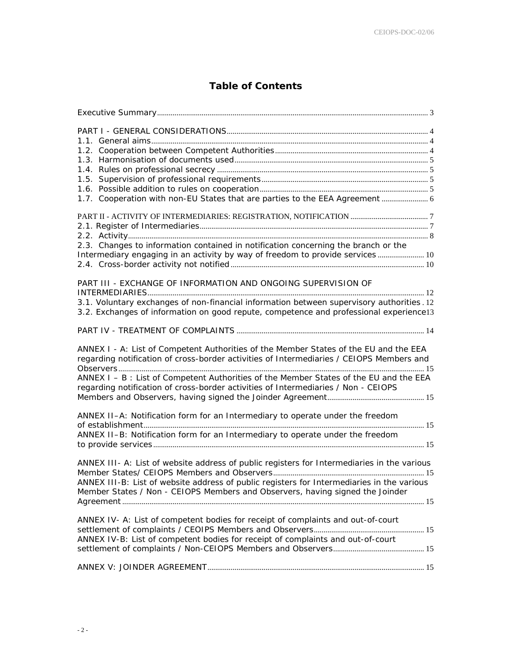## **Table of Contents**

| 1.7. Cooperation with non-EU States that are parties to the EEA Agreement  6                                                                                                      |  |
|-----------------------------------------------------------------------------------------------------------------------------------------------------------------------------------|--|
|                                                                                                                                                                                   |  |
|                                                                                                                                                                                   |  |
|                                                                                                                                                                                   |  |
|                                                                                                                                                                                   |  |
| 2.3. Changes to information contained in notification concerning the branch or the                                                                                                |  |
| Intermediary engaging in an activity by way of freedom to provide services 10                                                                                                     |  |
|                                                                                                                                                                                   |  |
| PART III - EXCHANGE OF INFORMATION AND ONGOING SUPERVISION OF                                                                                                                     |  |
|                                                                                                                                                                                   |  |
| 3.1. Voluntary exchanges of non-financial information between supervisory authorities. 12                                                                                         |  |
| 3.2. Exchanges of information on good repute, competence and professional experience13                                                                                            |  |
|                                                                                                                                                                                   |  |
|                                                                                                                                                                                   |  |
| ANNEX I - A: List of Competent Authorities of the Member States of the EU and the EEA<br>regarding notification of cross-border activities of Intermediaries / CEIOPS Members and |  |
| ANNEX I - B : List of Competent Authorities of the Member States of the EU and the EEA<br>regarding notification of cross-border activities of Intermediaries / Non - CEIOPS      |  |
|                                                                                                                                                                                   |  |
| ANNEX II-A: Notification form for an Intermediary to operate under the freedom                                                                                                    |  |
|                                                                                                                                                                                   |  |
| ANNEX II-B: Notification form for an Intermediary to operate under the freedom                                                                                                    |  |
|                                                                                                                                                                                   |  |
| ANNEX III- A: List of website address of public registers for Intermediaries in the various                                                                                       |  |
| ANNEX III-B: List of website address of public registers for Intermediaries in the various                                                                                        |  |
| Member States / Non - CEIOPS Members and Observers, having signed the Joinder                                                                                                     |  |
|                                                                                                                                                                                   |  |
|                                                                                                                                                                                   |  |
| ANNEX IV- A: List of competent bodies for receipt of complaints and out-of-court                                                                                                  |  |
|                                                                                                                                                                                   |  |
| ANNEX IV-B: List of competent bodies for receipt of complaints and out-of-court                                                                                                   |  |
|                                                                                                                                                                                   |  |
|                                                                                                                                                                                   |  |
|                                                                                                                                                                                   |  |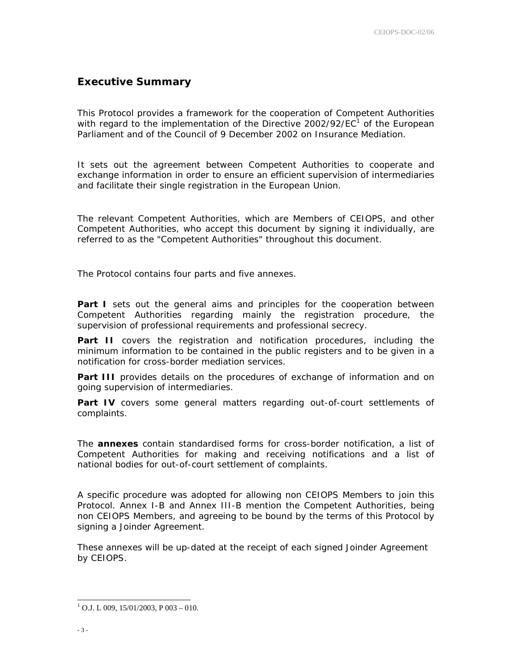## **Executive Summary**

This Protocol provides a framework for the cooperation of Competent Authorities with regard to the implementation of the Directive 2002/92/EC<sup>1</sup> of the European Parliament and of the Council of 9 December 2002 on Insurance Mediation.

It sets out the agreement between Competent Authorities to cooperate and exchange information in order to ensure an efficient supervision of intermediaries and facilitate their single registration in the European Union.

The relevant Competent Authorities, which are Members of CEIOPS, and other Competent Authorities, who accept this document by signing it individually, are referred to as the "Competent Authorities" throughout this document.

The Protocol contains four parts and five annexes.

**Part I** sets out the general aims and principles for the cooperation between Competent Authorities regarding mainly the registration procedure, the supervision of professional requirements and professional secrecy.

Part II covers the registration and notification procedures, including the minimum information to be contained in the public registers and to be given in a notification for cross-border mediation services.

**Part III** provides details on the procedures of exchange of information and on going supervision of intermediaries.

**Part IV** covers some general matters regarding out-of-court settlements of complaints.

The **annexes** contain standardised forms for cross-border notification, a list of Competent Authorities for making and receiving notifications and a list of national bodies for out-of-court settlement of complaints.

A specific procedure was adopted for allowing non CEIOPS Members to join this Protocol. Annex I-B and Annex III-B mention the Competent Authorities, being non CEIOPS Members, and agreeing to be bound by the terms of this Protocol by signing a Joinder Agreement.

These annexes will be up-dated at the receipt of each signed Joinder Agreement by CEIOPS.

 $1$  O.J. L 009, 15/01/2003, P 003 – 010.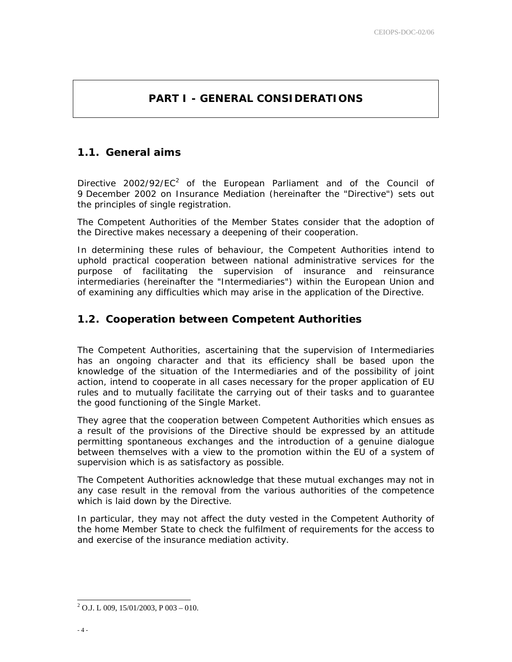# **PART I - GENERAL CONSIDERATIONS**

## **1.1. General aims**

Directive 2002/92/EC<sup>2</sup> of the European Parliament and of the Council of 9 December 2002 on Insurance Mediation (hereinafter the "Directive") sets out the principles of single registration.

The Competent Authorities of the Member States consider that the adoption of the Directive makes necessary a deepening of their cooperation.

In determining these rules of behaviour, the Competent Authorities intend to uphold practical cooperation between national administrative services for the purpose of facilitating the supervision of insurance and reinsurance intermediaries (hereinafter the "Intermediaries") within the European Union and of examining any difficulties which may arise in the application of the Directive.

## **1.2. Cooperation between Competent Authorities**

The Competent Authorities, ascertaining that the supervision of Intermediaries has an ongoing character and that its efficiency shall be based upon the knowledge of the situation of the Intermediaries and of the possibility of joint action, intend to cooperate in all cases necessary for the proper application of EU rules and to mutually facilitate the carrying out of their tasks and to guarantee the good functioning of the Single Market.

They agree that the cooperation between Competent Authorities which ensues as a result of the provisions of the Directive should be expressed by an attitude permitting spontaneous exchanges and the introduction of a genuine dialogue between themselves with a view to the promotion within the EU of a system of supervision which is as satisfactory as possible.

The Competent Authorities acknowledge that these mutual exchanges may not in any case result in the removal from the various authorities of the competence which is laid down by the Directive.

In particular, they may not affect the duty vested in the Competent Authority of the home Member State to check the fulfilment of requirements for the access to and exercise of the insurance mediation activity.

 $^{2}$  O.J. L 009, 15/01/2003, P 003 – 010.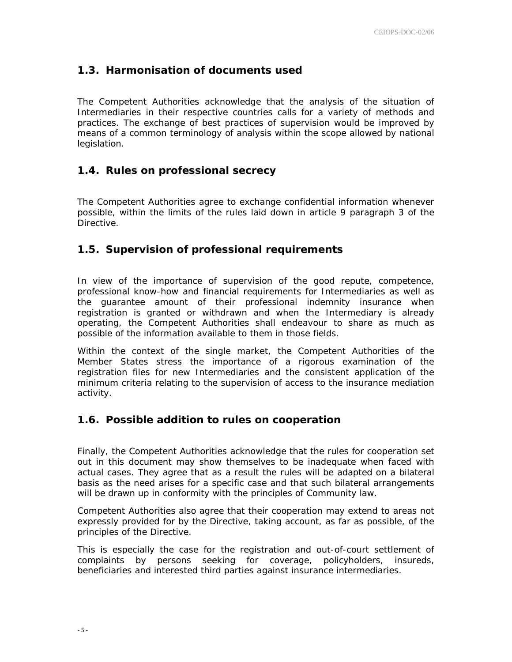## **1.3. Harmonisation of documents used**

The Competent Authorities acknowledge that the analysis of the situation of Intermediaries in their respective countries calls for a variety of methods and practices. The exchange of best practices of supervision would be improved by means of a common terminology of analysis within the scope allowed by national legislation.

## **1.4. Rules on professional secrecy**

The Competent Authorities agree to exchange confidential information whenever possible, within the limits of the rules laid down in article 9 paragraph 3 of the Directive.

## **1.5. Supervision of professional requirements**

In view of the importance of supervision of the good repute, competence, professional know-how and financial requirements for Intermediaries as well as the guarantee amount of their professional indemnity insurance when registration is granted or withdrawn and when the Intermediary is already operating, the Competent Authorities shall endeavour to share as much as possible of the information available to them in those fields.

Within the context of the single market, the Competent Authorities of the Member States stress the importance of a rigorous examination of the registration files for new Intermediaries and the consistent application of the minimum criteria relating to the supervision of access to the insurance mediation activity.

## **1.6. Possible addition to rules on cooperation**

Finally, the Competent Authorities acknowledge that the rules for cooperation set out in this document may show themselves to be inadequate when faced with actual cases. They agree that as a result the rules will be adapted on a bilateral basis as the need arises for a specific case and that such bilateral arrangements will be drawn up in conformity with the principles of Community law.

Competent Authorities also agree that their cooperation may extend to areas not expressly provided for by the Directive, taking account, as far as possible, of the principles of the Directive.

This is especially the case for the registration and out-of-court settlement of complaints by persons seeking for coverage, policyholders, insureds, beneficiaries and interested third parties against insurance intermediaries.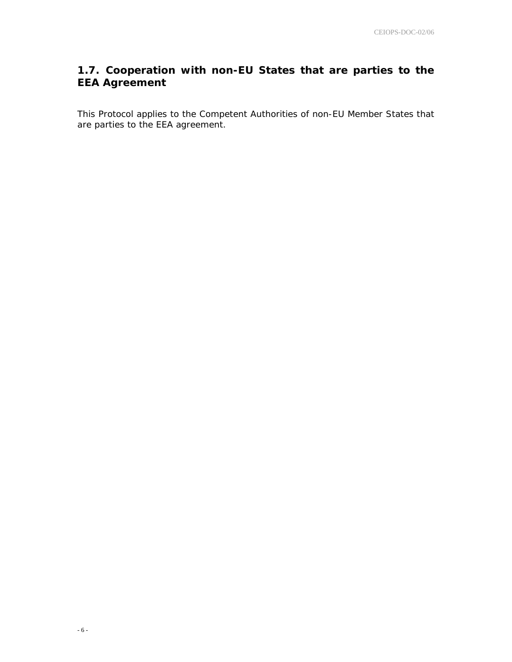# **1.7. Cooperation with non-EU States that are parties to the EEA Agreement**

This Protocol applies to the Competent Authorities of non-EU Member States that are parties to the EEA agreement.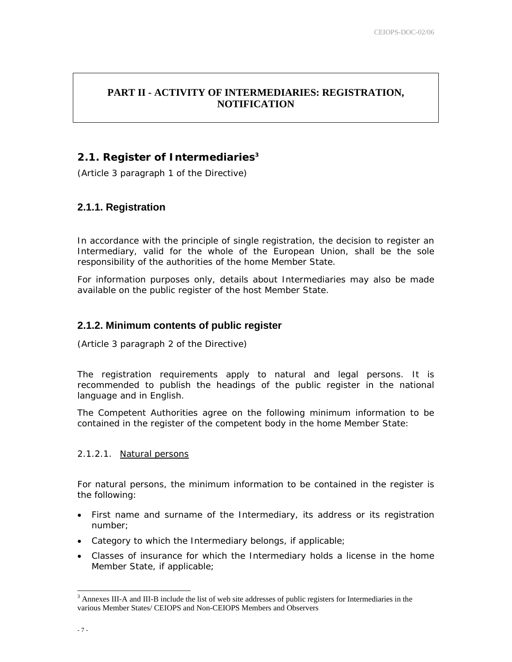## **PART II - ACTIVITY OF INTERMEDIARIES: REGISTRATION, NOTIFICATION**

## **2.1. Register of Intermediaries3**

(Article 3 paragraph 1 of the Directive)

## **2.1.1. Registration**

In accordance with the principle of single registration, the decision to register an Intermediary, valid for the whole of the European Union, shall be the sole responsibility of the authorities of the home Member State.

For information purposes only, details about Intermediaries may also be made available on the public register of the host Member State.

## **2.1.2. Minimum contents of public register**

(Article 3 paragraph 2 of the Directive)

The registration requirements apply to natural and legal persons. It is recommended to publish the headings of the public register in the national language and in English.

The Competent Authorities agree on the following minimum information to be contained in the register of the competent body in the home Member State:

## 2.1.2.1. Natural persons

For natural persons, the minimum information to be contained in the register is the following:

- First name and surname of the Intermediary, its address or its registration number;
- Category to which the Intermediary belongs, if applicable;
- Classes of insurance for which the Intermediary holds a license in the home Member State, if applicable;

 $3$  Annexes III-A and III-B include the list of web site addresses of public registers for Intermediaries in the various Member States/ CEIOPS and Non-CEIOPS Members and Observers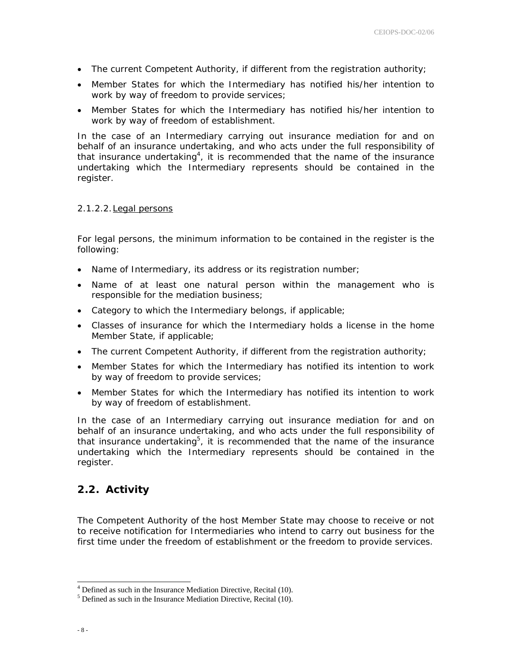- The current Competent Authority, if different from the registration authority;
- Member States for which the Intermediary has notified his/her intention to work by way of freedom to provide services;
- Member States for which the Intermediary has notified his/her intention to work by way of freedom of establishment.

In the case of an Intermediary carrying out insurance mediation for and on behalf of an insurance undertaking, and who acts under the full responsibility of that insurance undertaking<sup>4</sup>, it is recommended that the name of the insurance undertaking which the Intermediary represents should be contained in the register.

#### 2.1.2.2.Legal persons

For legal persons, the minimum information to be contained in the register is the following:

- Name of Intermediary, its address or its registration number;
- Name of at least one natural person within the management who is responsible for the mediation business;
- Category to which the Intermediary belongs, if applicable;
- Classes of insurance for which the Intermediary holds a license in the home Member State, if applicable;
- The current Competent Authority, if different from the registration authority;
- Member States for which the Intermediary has notified its intention to work by way of freedom to provide services;
- Member States for which the Intermediary has notified its intention to work by way of freedom of establishment.

In the case of an Intermediary carrying out insurance mediation for and on behalf of an insurance undertaking, and who acts under the full responsibility of that insurance undertaking<sup>5</sup>, it is recommended that the name of the insurance undertaking which the Intermediary represents should be contained in the register.

## **2.2. Activity**

The Competent Authority of the host Member State may choose to receive or not to receive notification for Intermediaries who intend to carry out business for the first time under the freedom of establishment or the freedom to provide services.

 $4$  Defined as such in the Insurance Mediation Directive, Recital (10).

 $<sup>5</sup>$  Defined as such in the Insurance Mediation Directive, Recital (10).</sup>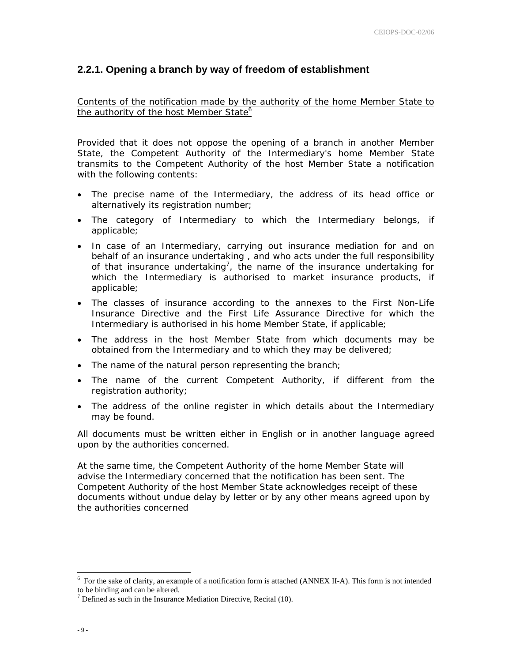#### **2.2.1. Opening a branch by way of freedom of establishment**

Contents of the notification made by the authority of the home Member State to the authority of the host Member State<sup>6</sup>

Provided that it does not oppose the opening of a branch in another Member State, the Competent Authority of the Intermediary's home Member State transmits to the Competent Authority of the host Member State a notification with the following contents:

- The precise name of the Intermediary, the address of its head office or alternatively its registration number;
- The category of Intermediary to which the Intermediary belongs, if applicable;
- In case of an Intermediary, carrying out insurance mediation for and on behalf of an insurance undertaking , and who acts under the full responsibility of that insurance undertaking<sup>7</sup>, the name of the insurance undertaking for which the Intermediary is authorised to market insurance products, if applicable;
- The classes of insurance according to the annexes to the First Non-Life Insurance Directive and the First Life Assurance Directive for which the Intermediary is authorised in his home Member State, if applicable;
- The address in the host Member State from which documents may be obtained from the Intermediary and to which they may be delivered;
- The name of the natural person representing the branch;
- The name of the current Competent Authority, if different from the registration authority;
- The address of the online register in which details about the Intermediary may be found.

All documents must be written either in English or in another language agreed upon by the authorities concerned.

At the same time, the Competent Authority of the home Member State will advise the Intermediary concerned that the notification has been sent. The Competent Authority of the host Member State acknowledges receipt of these documents without undue delay by letter or by any other means agreed upon by the authorities concerned

<sup>&</sup>lt;sup>6</sup> For the sake of clarity, an example of a notification form is attached (ANNEX II-A). This form is not intended to be binding and can be altered.

 $^7$  Defined as such in the Insurance Mediation Directive, Recital (10).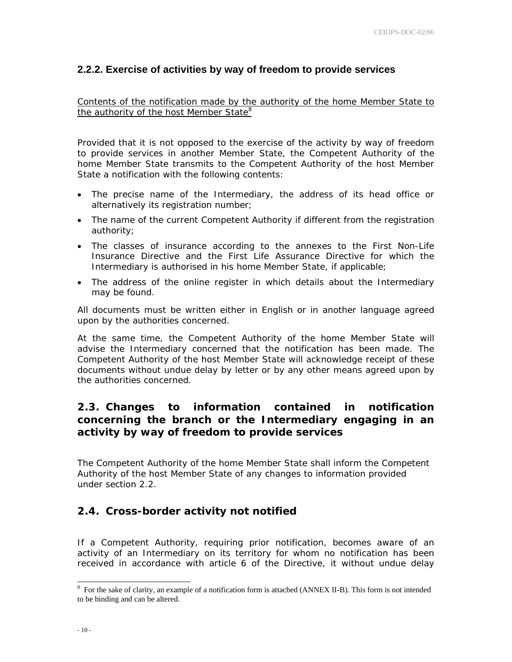## **2.2.2. Exercise of activities by way of freedom to provide services**

Contents of the notification made by the authority of the home Member State to the authority of the host Member State<sup>8</sup>

Provided that it is not opposed to the exercise of the activity by way of freedom to provide services in another Member State, the Competent Authority of the home Member State transmits to the Competent Authority of the host Member State a notification with the following contents:

- The precise name of the Intermediary, the address of its head office or alternatively its registration number;
- The name of the current Competent Authority if different from the registration authority;
- The classes of insurance according to the annexes to the First Non-Life Insurance Directive and the First Life Assurance Directive for which the Intermediary is authorised in his home Member State, if applicable;
- The address of the online register in which details about the Intermediary may be found.

All documents must be written either in English or in another language agreed upon by the authorities concerned.

At the same time, the Competent Authority of the home Member State will advise the Intermediary concerned that the notification has been made. The Competent Authority of the host Member State will acknowledge receipt of these documents without undue delay by letter or by any other means agreed upon by the authorities concerned.

## **2.3. Changes to information contained in notification concerning the branch or the Intermediary engaging in an activity by way of freedom to provide services**

The Competent Authority of the home Member State shall inform the Competent Authority of the host Member State of any changes to information provided under section 2.2.

## **2.4. Cross-border activity not notified**

If a Competent Authority, requiring prior notification, becomes aware of an activity of an Intermediary on its territory for whom no notification has been received in accordance with article 6 of the Directive, it without undue delay

<sup>&</sup>lt;sup>8</sup> For the sake of clarity, an example of a notification form is attached (ANNEX II-B). This form is not intended to be binding and can be altered.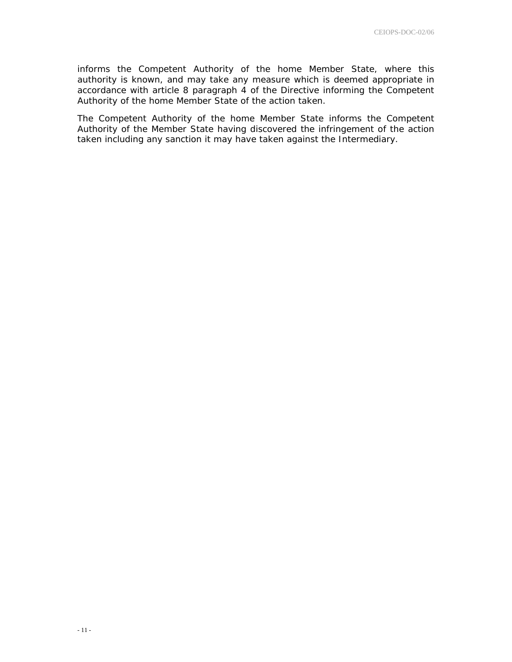informs the Competent Authority of the home Member State, where this authority is known, and may take any measure which is deemed appropriate in accordance with article 8 paragraph 4 of the Directive informing the Competent Authority of the home Member State of the action taken.

The Competent Authority of the home Member State informs the Competent Authority of the Member State having discovered the infringement of the action taken including any sanction it may have taken against the Intermediary.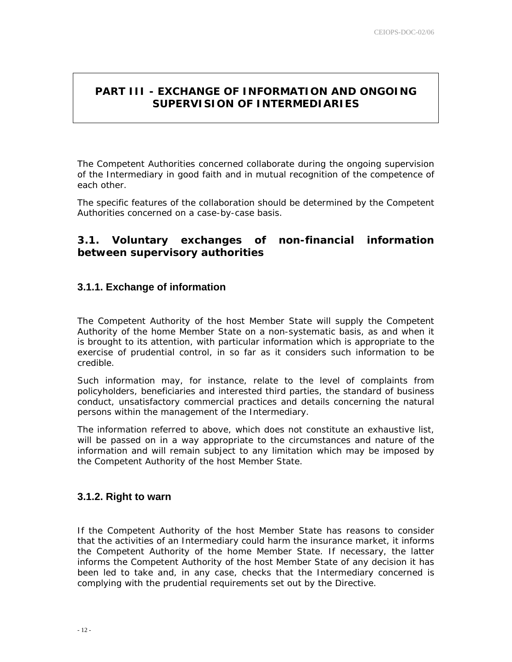## **PART III - EXCHANGE OF INFORMATION AND ONGOING SUPERVISION OF INTERMEDIARIES**

The Competent Authorities concerned collaborate during the ongoing supervision of the Intermediary in good faith and in mutual recognition of the competence of each other.

The specific features of the collaboration should be determined by the Competent Authorities concerned on a case-by-case basis.

## **3.1. Voluntary exchanges of non-financial information between supervisory authorities**

## **3.1.1. Exchange of information**

The Competent Authority of the host Member State will supply the Competent Authority of the home Member State on a non-systematic basis, as and when it is brought to its attention, with particular information which is appropriate to the exercise of prudential control, in so far as it considers such information to be credible.

Such information may, for instance, relate to the level of complaints from policyholders, beneficiaries and interested third parties, the standard of business conduct, unsatisfactory commercial practices and details concerning the natural persons within the management of the Intermediary.

The information referred to above, which does not constitute an exhaustive list, will be passed on in a way appropriate to the circumstances and nature of the information and will remain subject to any limitation which may be imposed by the Competent Authority of the host Member State.

## **3.1.2. Right to warn**

If the Competent Authority of the host Member State has reasons to consider that the activities of an Intermediary could harm the insurance market, it informs the Competent Authority of the home Member State. If necessary, the latter informs the Competent Authority of the host Member State of any decision it has been led to take and, in any case, checks that the Intermediary concerned is complying with the prudential requirements set out by the Directive.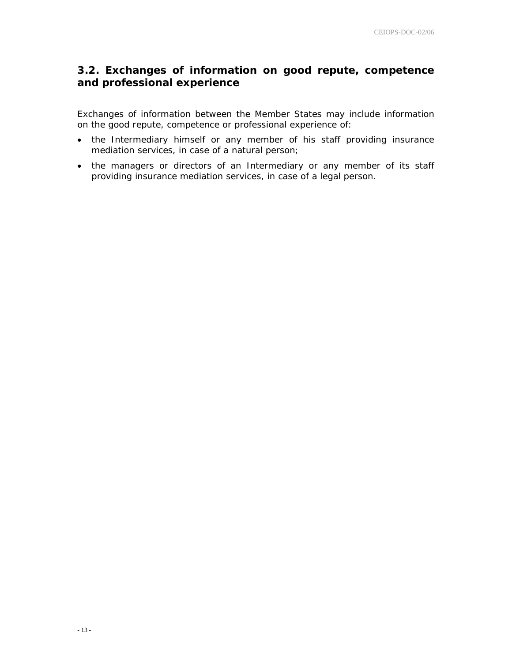## **3.2. Exchanges of information on good repute, competence and professional experience**

Exchanges of information between the Member States may include information on the good repute, competence or professional experience of:

- the Intermediary himself or any member of his staff providing insurance mediation services, in case of a natural person;
- the managers or directors of an Intermediary or any member of its staff providing insurance mediation services, in case of a legal person.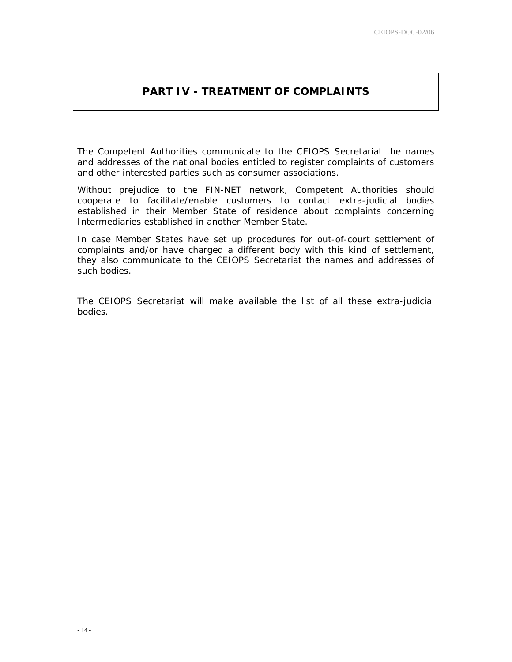## **PART IV - TREATMENT OF COMPLAINTS**

The Competent Authorities communicate to the CEIOPS Secretariat the names and addresses of the national bodies entitled to register complaints of customers and other interested parties such as consumer associations.

Without prejudice to the FIN-NET network, Competent Authorities should cooperate to facilitate/enable customers to contact extra-judicial bodies established in their Member State of residence about complaints concerning Intermediaries established in another Member State.

In case Member States have set up procedures for out-of-court settlement of complaints and/or have charged a different body with this kind of settlement, they also communicate to the CEIOPS Secretariat the names and addresses of such bodies.

The CEIOPS Secretariat will make available the list of all these extra-judicial bodies.